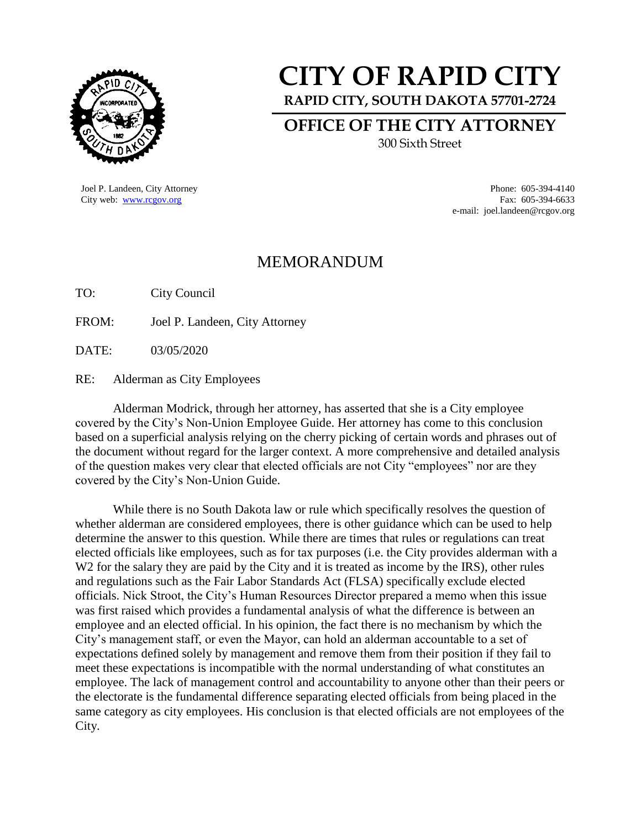

## **CITY OF RAPID CITY**

**RAPID CITY, SOUTH DAKOTA 57701-2724**

**OFFICE OF THE CITY ATTORNEY**

300 Sixth Street

Joel P. Landeen, City Attorney Phone: 605-394-4140

City web: [www.rcgov.org](http://www.rcgov.org/) Fax: 605-394-6633 e-mail: joel.landeen@rcgov.org

## MEMORANDUM

TO: City Council

FROM: Joel P. Landeen, City Attorney

DATE: 03/05/2020

RE: Alderman as City Employees

Alderman Modrick, through her attorney, has asserted that she is a City employee covered by the City's Non-Union Employee Guide. Her attorney has come to this conclusion based on a superficial analysis relying on the cherry picking of certain words and phrases out of the document without regard for the larger context. A more comprehensive and detailed analysis of the question makes very clear that elected officials are not City "employees" nor are they covered by the City's Non-Union Guide.

While there is no South Dakota law or rule which specifically resolves the question of whether alderman are considered employees, there is other guidance which can be used to help determine the answer to this question. While there are times that rules or regulations can treat elected officials like employees, such as for tax purposes (i.e. the City provides alderman with a W<sub>2</sub> for the salary they are paid by the City and it is treated as income by the IRS), other rules and regulations such as the Fair Labor Standards Act (FLSA) specifically exclude elected officials. Nick Stroot, the City's Human Resources Director prepared a memo when this issue was first raised which provides a fundamental analysis of what the difference is between an employee and an elected official. In his opinion, the fact there is no mechanism by which the City's management staff, or even the Mayor, can hold an alderman accountable to a set of expectations defined solely by management and remove them from their position if they fail to meet these expectations is incompatible with the normal understanding of what constitutes an employee. The lack of management control and accountability to anyone other than their peers or the electorate is the fundamental difference separating elected officials from being placed in the same category as city employees. His conclusion is that elected officials are not employees of the City.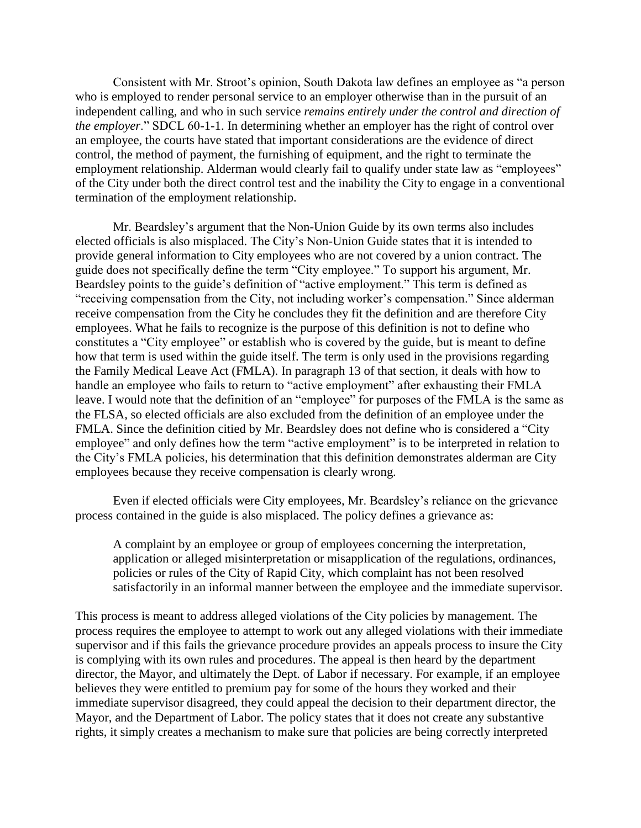Consistent with Mr. Stroot's opinion, South Dakota law defines an employee as "a person who is employed to render personal service to an employer otherwise than in the pursuit of an independent calling, and who in such service *remains entirely under the control and direction of the employer*." SDCL 60-1-1. In determining whether an employer has the right of control over an employee, the courts have stated that important considerations are the evidence of direct control, the method of payment, the furnishing of equipment, and the right to terminate the employment relationship. Alderman would clearly fail to qualify under state law as "employees" of the City under both the direct control test and the inability the City to engage in a conventional termination of the employment relationship.

Mr. Beardsley's argument that the Non-Union Guide by its own terms also includes elected officials is also misplaced. The City's Non-Union Guide states that it is intended to provide general information to City employees who are not covered by a union contract. The guide does not specifically define the term "City employee." To support his argument, Mr. Beardsley points to the guide's definition of "active employment." This term is defined as "receiving compensation from the City, not including worker's compensation." Since alderman receive compensation from the City he concludes they fit the definition and are therefore City employees. What he fails to recognize is the purpose of this definition is not to define who constitutes a "City employee" or establish who is covered by the guide, but is meant to define how that term is used within the guide itself. The term is only used in the provisions regarding the Family Medical Leave Act (FMLA). In paragraph 13 of that section, it deals with how to handle an employee who fails to return to "active employment" after exhausting their FMLA leave. I would note that the definition of an "employee" for purposes of the FMLA is the same as the FLSA, so elected officials are also excluded from the definition of an employee under the FMLA. Since the definition citied by Mr. Beardsley does not define who is considered a "City employee" and only defines how the term "active employment" is to be interpreted in relation to the City's FMLA policies, his determination that this definition demonstrates alderman are City employees because they receive compensation is clearly wrong.

Even if elected officials were City employees, Mr. Beardsley's reliance on the grievance process contained in the guide is also misplaced. The policy defines a grievance as:

A complaint by an employee or group of employees concerning the interpretation, application or alleged misinterpretation or misapplication of the regulations, ordinances, policies or rules of the City of Rapid City, which complaint has not been resolved satisfactorily in an informal manner between the employee and the immediate supervisor.

This process is meant to address alleged violations of the City policies by management. The process requires the employee to attempt to work out any alleged violations with their immediate supervisor and if this fails the grievance procedure provides an appeals process to insure the City is complying with its own rules and procedures. The appeal is then heard by the department director, the Mayor, and ultimately the Dept. of Labor if necessary. For example, if an employee believes they were entitled to premium pay for some of the hours they worked and their immediate supervisor disagreed, they could appeal the decision to their department director, the Mayor, and the Department of Labor. The policy states that it does not create any substantive rights, it simply creates a mechanism to make sure that policies are being correctly interpreted